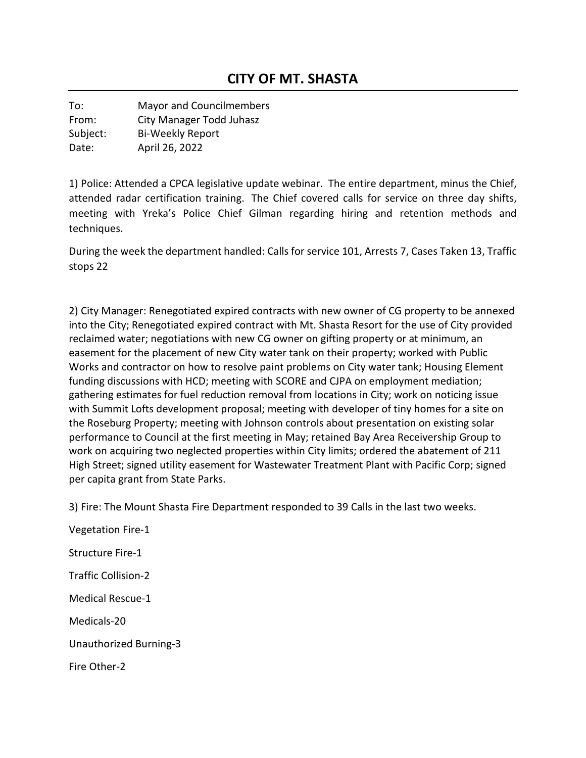To: Mayor and Councilmembers From: City Manager Todd Juhasz Subject: Bi-Weekly Report Date: April 26, 2022

1) Police: Attended a CPCA legislative update webinar. The entire department, minus the Chief, attended radar certification training. The Chief covered calls for service on three day shifts, meeting with Yreka's Police Chief Gilman regarding hiring and retention methods and techniques.

During the week the department handled: Calls for service 101, Arrests 7, Cases Taken 13, Traffic stops 22

2) City Manager: Renegotiated expired contracts with new owner of CG property to be annexed into the City; Renegotiated expired contract with Mt. Shasta Resort for the use of City provided reclaimed water; negotiations with new CG owner on gifting property or at minimum, an easement for the placement of new City water tank on their property; worked with Public Works and contractor on how to resolve paint problems on City water tank; Housing Element funding discussions with HCD; meeting with SCORE and CJPA on employment mediation; gathering estimates for fuel reduction removal from locations in City; work on noticing issue with Summit Lofts development proposal; meeting with developer of tiny homes for a site on the Roseburg Property; meeting with Johnson controls about presentation on existing solar performance to Council at the first meeting in May; retained Bay Area Receivership Group to work on acquiring two neglected properties within City limits; ordered the abatement of 211 High Street; signed utility easement for Wastewater Treatment Plant with Pacific Corp; signed per capita grant from State Parks.

3) Fire: The Mount Shasta Fire Department responded to 39 Calls in the last two weeks.

Vegetation Fire-1 Structure Fire-1 Traffic Collision-2 Medical Rescue-1 Medicals-20 Unauthorized Burning-3 Fire Other-2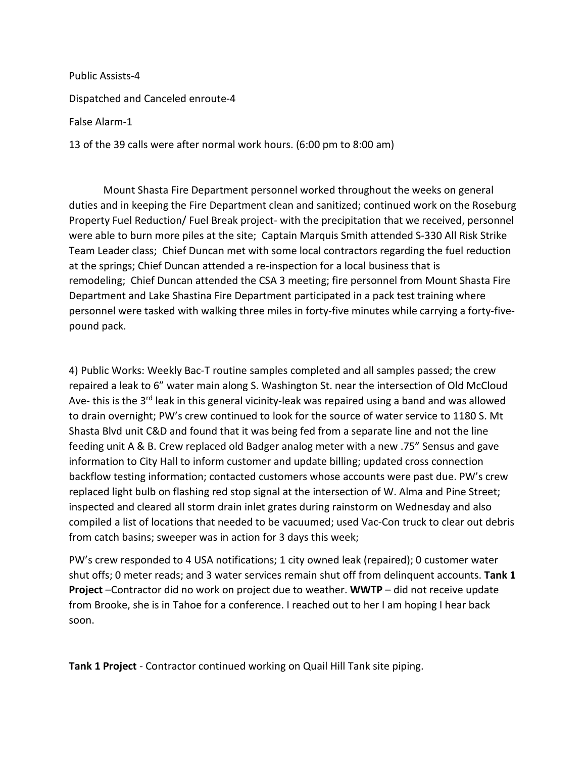Public Assists-4 Dispatched and Canceled enroute-4 False Alarm-1 13 of the 39 calls were after normal work hours. (6:00 pm to 8:00 am)

Mount Shasta Fire Department personnel worked throughout the weeks on general duties and in keeping the Fire Department clean and sanitized; continued work on the Roseburg Property Fuel Reduction/ Fuel Break project- with the precipitation that we received, personnel were able to burn more piles at the site; Captain Marquis Smith attended S-330 All Risk Strike Team Leader class; Chief Duncan met with some local contractors regarding the fuel reduction at the springs; Chief Duncan attended a re-inspection for a local business that is remodeling; Chief Duncan attended the CSA 3 meeting; fire personnel from Mount Shasta Fire Department and Lake Shastina Fire Department participated in a pack test training where personnel were tasked with walking three miles in forty-five minutes while carrying a forty-fivepound pack.

4) Public Works: Weekly Bac-T routine samples completed and all samples passed; the crew repaired a leak to 6" water main along S. Washington St. near the intersection of Old McCloud Ave- this is the 3<sup>rd</sup> leak in this general vicinity-leak was repaired using a band and was allowed to drain overnight; PW's crew continued to look for the source of water service to 1180 S. Mt Shasta Blvd unit C&D and found that it was being fed from a separate line and not the line feeding unit A & B. Crew replaced old Badger analog meter with a new .75" Sensus and gave information to City Hall to inform customer and update billing; updated cross connection backflow testing information; contacted customers whose accounts were past due. PW's crew replaced light bulb on flashing red stop signal at the intersection of W. Alma and Pine Street; inspected and cleared all storm drain inlet grates during rainstorm on Wednesday and also compiled a list of locations that needed to be vacuumed; used Vac-Con truck to clear out debris from catch basins; sweeper was in action for 3 days this week;

PW's crew responded to 4 USA notifications; 1 city owned leak (repaired); 0 customer water shut offs; 0 meter reads; and 3 water services remain shut off from delinquent accounts. **Tank 1 Project** –Contractor did no work on project due to weather. **WWTP** – did not receive update from Brooke, she is in Tahoe for a conference. I reached out to her I am hoping I hear back soon.

**Tank 1 Project** - Contractor continued working on Quail Hill Tank site piping.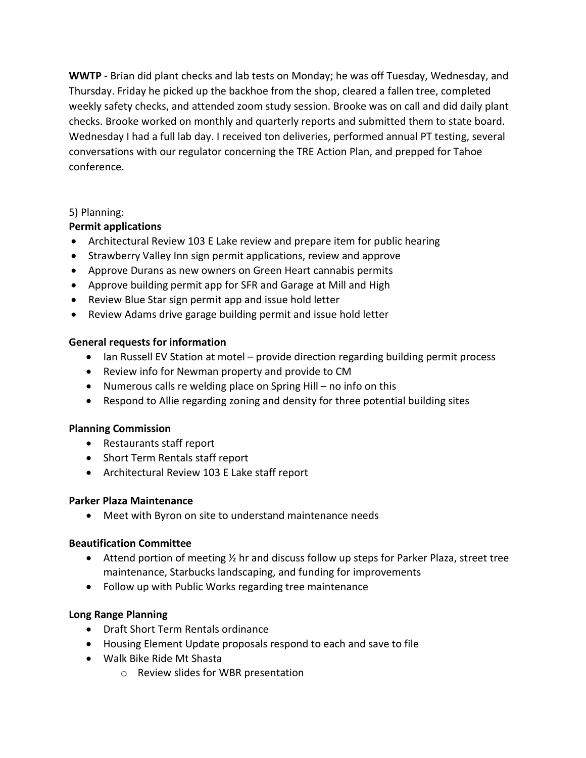**WWTP** - Brian did plant checks and lab tests on Monday; he was off Tuesday, Wednesday, and Thursday. Friday he picked up the backhoe from the shop, cleared a fallen tree, completed weekly safety checks, and attended zoom study session. Brooke was on call and did daily plant checks. Brooke worked on monthly and quarterly reports and submitted them to state board. Wednesday I had a full lab day. I received ton deliveries, performed annual PT testing, several conversations with our regulator concerning the TRE Action Plan, and prepped for Tahoe conference.

## 5) Planning:

# **Permit applications**

- Architectural Review 103 E Lake review and prepare item for public hearing
- Strawberry Valley Inn sign permit applications, review and approve
- Approve Durans as new owners on Green Heart cannabis permits
- Approve building permit app for SFR and Garage at Mill and High
- Review Blue Star sign permit app and issue hold letter
- Review Adams drive garage building permit and issue hold letter

## **General requests for information**

- Ian Russell EV Station at motel provide direction regarding building permit process
- Review info for Newman property and provide to CM
- Numerous calls re welding place on Spring Hill no info on this
- Respond to Allie regarding zoning and density for three potential building sites

### **Planning Commission**

- Restaurants staff report
- Short Term Rentals staff report
- Architectural Review 103 E Lake staff report

### **Parker Plaza Maintenance**

• Meet with Byron on site to understand maintenance needs

### **Beautification Committee**

- Attend portion of meeting  $\frac{1}{2}$  hr and discuss follow up steps for Parker Plaza, street tree maintenance, Starbucks landscaping, and funding for improvements
- Follow up with Public Works regarding tree maintenance

### **Long Range Planning**

- Draft Short Term Rentals ordinance
- Housing Element Update proposals respond to each and save to file
- Walk Bike Ride Mt Shasta
	- o Review slides for WBR presentation